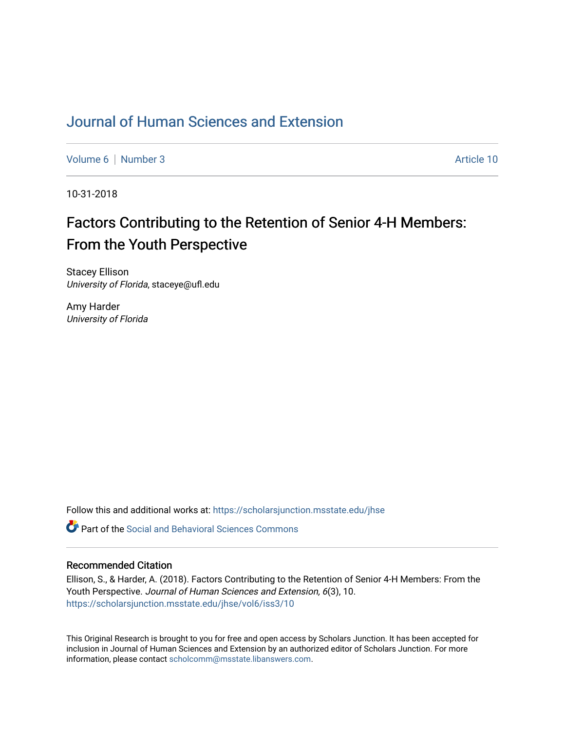## [Journal of Human Sciences and Extension](https://scholarsjunction.msstate.edu/jhse)

[Volume 6](https://scholarsjunction.msstate.edu/jhse/vol6) | [Number 3](https://scholarsjunction.msstate.edu/jhse/vol6/iss3) Article 10

10-31-2018

# Factors Contributing to the Retention of Senior 4-H Members: From the Youth Perspective

Stacey Ellison University of Florida, staceye@ufl.edu

Amy Harder University of Florida

Follow this and additional works at: [https://scholarsjunction.msstate.edu/jhse](https://scholarsjunction.msstate.edu/jhse?utm_source=scholarsjunction.msstate.edu%2Fjhse%2Fvol6%2Fiss3%2F10&utm_medium=PDF&utm_campaign=PDFCoverPages)

 $\bullet$  Part of the Social and Behavioral Sciences Commons

#### Recommended Citation

Ellison, S., & Harder, A. (2018). Factors Contributing to the Retention of Senior 4-H Members: From the Youth Perspective. Journal of Human Sciences and Extension, 6(3), 10. [https://scholarsjunction.msstate.edu/jhse/vol6/iss3/10](https://scholarsjunction.msstate.edu/jhse/vol6/iss3/10?utm_source=scholarsjunction.msstate.edu%2Fjhse%2Fvol6%2Fiss3%2F10&utm_medium=PDF&utm_campaign=PDFCoverPages) 

This Original Research is brought to you for free and open access by Scholars Junction. It has been accepted for inclusion in Journal of Human Sciences and Extension by an authorized editor of Scholars Junction. For more information, please contact [scholcomm@msstate.libanswers.com](mailto:scholcomm@msstate.libanswers.com).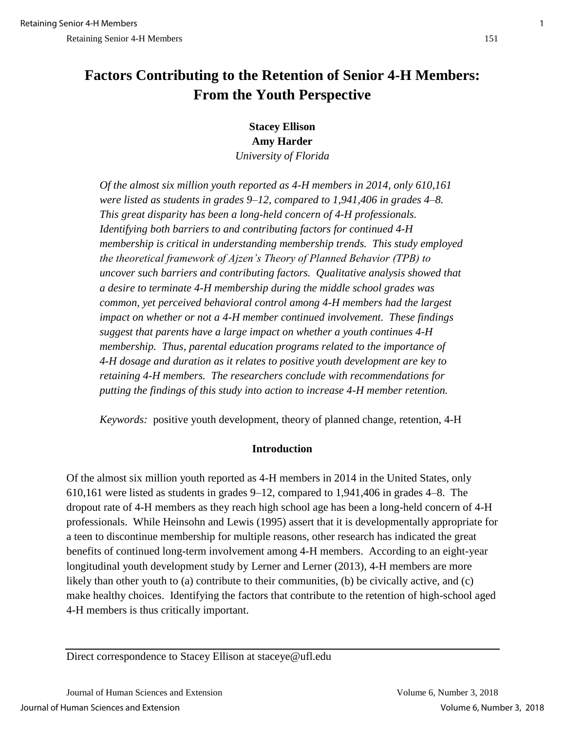## **Factors Contributing to the Retention of Senior 4-H Members: From the Youth Perspective**

**Stacey Ellison Amy Harder** *University of Florida*

*Of the almost six million youth reported as 4-H members in 2014, only 610,161 were listed as students in grades 9*–*12, compared to 1,941,406 in grades 4*–*8. This great disparity has been a long-held concern of 4-H professionals. Identifying both barriers to and contributing factors for continued 4-H membership is critical in understanding membership trends. This study employed the theoretical framework of Ajzen's Theory of Planned Behavior (TPB) to uncover such barriers and contributing factors. Qualitative analysis showed that a desire to terminate 4-H membership during the middle school grades was common, yet perceived behavioral control among 4-H members had the largest impact on whether or not a 4-H member continued involvement. These findings suggest that parents have a large impact on whether a youth continues 4-H membership. Thus, parental education programs related to the importance of 4-H dosage and duration as it relates to positive youth development are key to retaining 4-H members. The researchers conclude with recommendations for putting the findings of this study into action to increase 4-H member retention.*

*Keywords:* positive youth development, theory of planned change, retention, 4-H

## **Introduction**

Of the almost six million youth reported as 4-H members in 2014 in the United States, only 610,161 were listed as students in grades 9–12, compared to 1,941,406 in grades 4–8. The dropout rate of 4-H members as they reach high school age has been a long-held concern of 4-H professionals. While Heinsohn and Lewis (1995) assert that it is developmentally appropriate for a teen to discontinue membership for multiple reasons, other research has indicated the great benefits of continued long-term involvement among 4-H members. According to an eight-year longitudinal youth development study by Lerner and Lerner (2013), 4-H members are more likely than other youth to (a) contribute to their communities, (b) be civically active, and (c) make healthy choices. Identifying the factors that contribute to the retention of high-school aged 4-H members is thus critically important.

Direct correspondence to Stacey Ellison at staceye@ufl.edu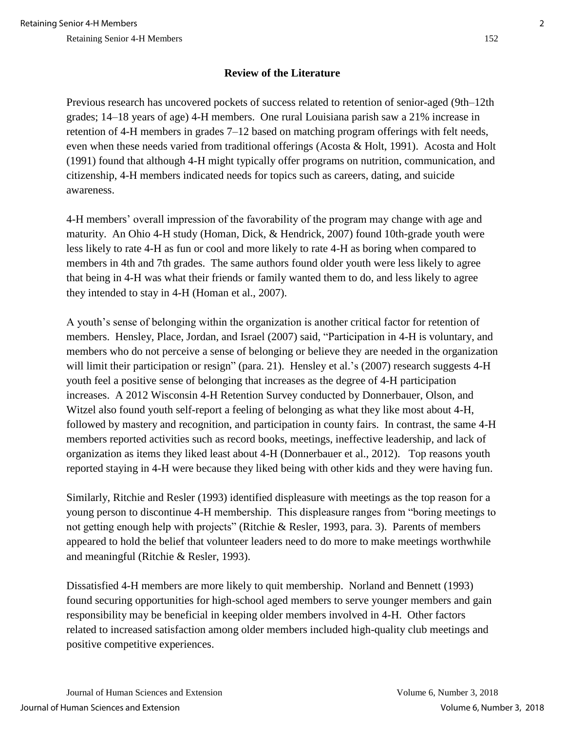## **Review of the Literature**

Previous research has uncovered pockets of success related to retention of senior-aged (9th–12th grades; 14–18 years of age) 4-H members. One rural Louisiana parish saw a 21% increase in retention of 4-H members in grades 7–12 based on matching program offerings with felt needs, even when these needs varied from traditional offerings (Acosta & Holt, 1991). Acosta and Holt (1991) found that although 4-H might typically offer programs on nutrition, communication, and citizenship, 4-H members indicated needs for topics such as careers, dating, and suicide awareness.

4-H members' overall impression of the favorability of the program may change with age and maturity. An Ohio 4-H study (Homan, Dick, & Hendrick, 2007) found 10th-grade youth were less likely to rate 4-H as fun or cool and more likely to rate 4-H as boring when compared to members in 4th and 7th grades. The same authors found older youth were less likely to agree that being in 4-H was what their friends or family wanted them to do, and less likely to agree they intended to stay in 4-H (Homan et al., 2007).

A youth's sense of belonging within the organization is another critical factor for retention of members. Hensley, Place, Jordan, and Israel (2007) said, "Participation in 4-H is voluntary, and members who do not perceive a sense of belonging or believe they are needed in the organization will limit their participation or resign" (para. 21). Hensley et al.'s (2007) research suggests 4-H youth feel a positive sense of belonging that increases as the degree of 4-H participation increases. A 2012 Wisconsin 4-H Retention Survey conducted by Donnerbauer, Olson, and Witzel also found youth self-report a feeling of belonging as what they like most about 4-H, followed by mastery and recognition, and participation in county fairs. In contrast, the same 4-H members reported activities such as record books, meetings, ineffective leadership, and lack of organization as items they liked least about 4-H (Donnerbauer et al., 2012). Top reasons youth reported staying in 4-H were because they liked being with other kids and they were having fun.

Similarly, Ritchie and Resler (1993) identified displeasure with meetings as the top reason for a young person to discontinue 4-H membership. This displeasure ranges from "boring meetings to not getting enough help with projects" (Ritchie & Resler, 1993, para. 3). Parents of members appeared to hold the belief that volunteer leaders need to do more to make meetings worthwhile and meaningful (Ritchie & Resler, 1993).

Dissatisfied 4-H members are more likely to quit membership. Norland and Bennett (1993) found securing opportunities for high-school aged members to serve younger members and gain responsibility may be beneficial in keeping older members involved in 4-H. Other factors related to increased satisfaction among older members included high-quality club meetings and positive competitive experiences.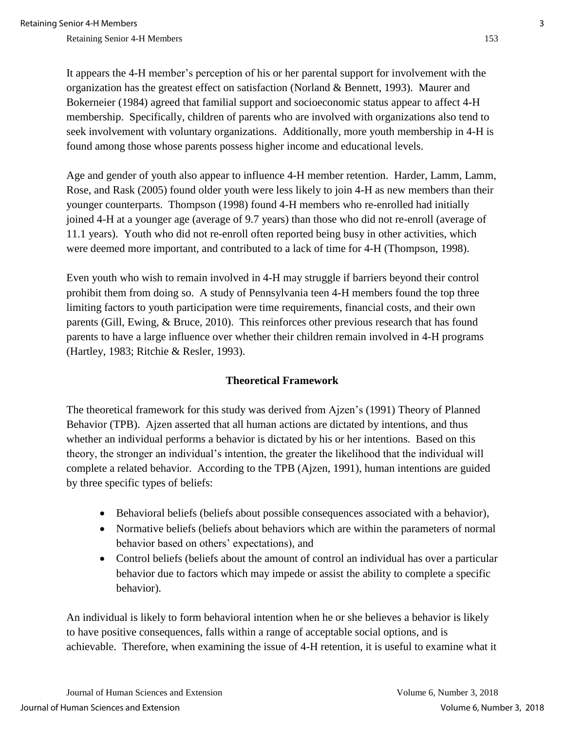It appears the 4-H member's perception of his or her parental support for involvement with the organization has the greatest effect on satisfaction (Norland & Bennett, 1993). Maurer and Bokerneier (1984) agreed that familial support and socioeconomic status appear to affect 4-H membership. Specifically, children of parents who are involved with organizations also tend to seek involvement with voluntary organizations. Additionally, more youth membership in 4-H is found among those whose parents possess higher income and educational levels.

Age and gender of youth also appear to influence 4-H member retention. Harder, Lamm, Lamm, Rose, and Rask (2005) found older youth were less likely to join 4-H as new members than their younger counterparts. Thompson (1998) found 4-H members who re-enrolled had initially joined 4-H at a younger age (average of 9.7 years) than those who did not re-enroll (average of 11.1 years). Youth who did not re-enroll often reported being busy in other activities, which were deemed more important, and contributed to a lack of time for 4-H (Thompson, 1998).

Even youth who wish to remain involved in 4-H may struggle if barriers beyond their control prohibit them from doing so. A study of Pennsylvania teen 4-H members found the top three limiting factors to youth participation were time requirements, financial costs, and their own parents (Gill, Ewing, & Bruce, 2010). This reinforces other previous research that has found parents to have a large influence over whether their children remain involved in 4-H programs (Hartley, 1983; Ritchie & Resler, 1993).

## **Theoretical Framework**

The theoretical framework for this study was derived from Ajzen's (1991) Theory of Planned Behavior (TPB). Ajzen asserted that all human actions are dictated by intentions, and thus whether an individual performs a behavior is dictated by his or her intentions. Based on this theory, the stronger an individual's intention, the greater the likelihood that the individual will complete a related behavior. According to the TPB (Ajzen, 1991), human intentions are guided by three specific types of beliefs:

- Behavioral beliefs (beliefs about possible consequences associated with a behavior),
- Normative beliefs (beliefs about behaviors which are within the parameters of normal behavior based on others' expectations), and
- Control beliefs (beliefs about the amount of control an individual has over a particular behavior due to factors which may impede or assist the ability to complete a specific behavior).

An individual is likely to form behavioral intention when he or she believes a behavior is likely to have positive consequences, falls within a range of acceptable social options, and is achievable. Therefore, when examining the issue of 4-H retention, it is useful to examine what it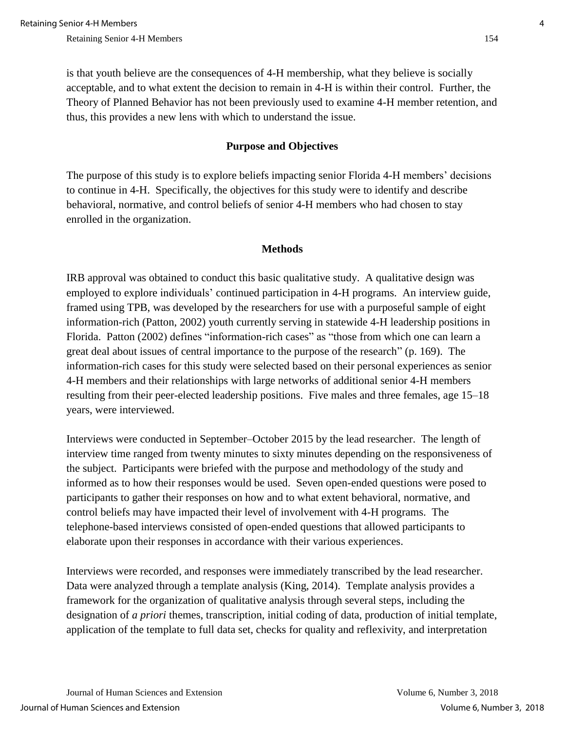is that youth believe are the consequences of 4-H membership, what they believe is socially acceptable, and to what extent the decision to remain in 4-H is within their control. Further, the Theory of Planned Behavior has not been previously used to examine 4-H member retention, and thus, this provides a new lens with which to understand the issue.

#### **Purpose and Objectives**

The purpose of this study is to explore beliefs impacting senior Florida 4-H members' decisions to continue in 4-H. Specifically, the objectives for this study were to identify and describe behavioral, normative, and control beliefs of senior 4-H members who had chosen to stay enrolled in the organization.

#### **Methods**

IRB approval was obtained to conduct this basic qualitative study. A qualitative design was employed to explore individuals' continued participation in 4-H programs. An interview guide, framed using TPB, was developed by the researchers for use with a purposeful sample of eight information-rich (Patton, 2002) youth currently serving in statewide 4-H leadership positions in Florida. Patton (2002) defines "information-rich cases" as "those from which one can learn a great deal about issues of central importance to the purpose of the research" (p. 169). The information-rich cases for this study were selected based on their personal experiences as senior 4-H members and their relationships with large networks of additional senior 4-H members resulting from their peer-elected leadership positions. Five males and three females, age 15–18 years, were interviewed.

Interviews were conducted in September–October 2015 by the lead researcher. The length of interview time ranged from twenty minutes to sixty minutes depending on the responsiveness of the subject. Participants were briefed with the purpose and methodology of the study and informed as to how their responses would be used. Seven open-ended questions were posed to participants to gather their responses on how and to what extent behavioral, normative, and control beliefs may have impacted their level of involvement with 4-H programs. The telephone-based interviews consisted of open-ended questions that allowed participants to elaborate upon their responses in accordance with their various experiences.

Interviews were recorded, and responses were immediately transcribed by the lead researcher. Data were analyzed through a template analysis (King, 2014). Template analysis provides a framework for the organization of qualitative analysis through several steps, including the designation of *a priori* themes, transcription, initial coding of data, production of initial template, application of the template to full data set, checks for quality and reflexivity, and interpretation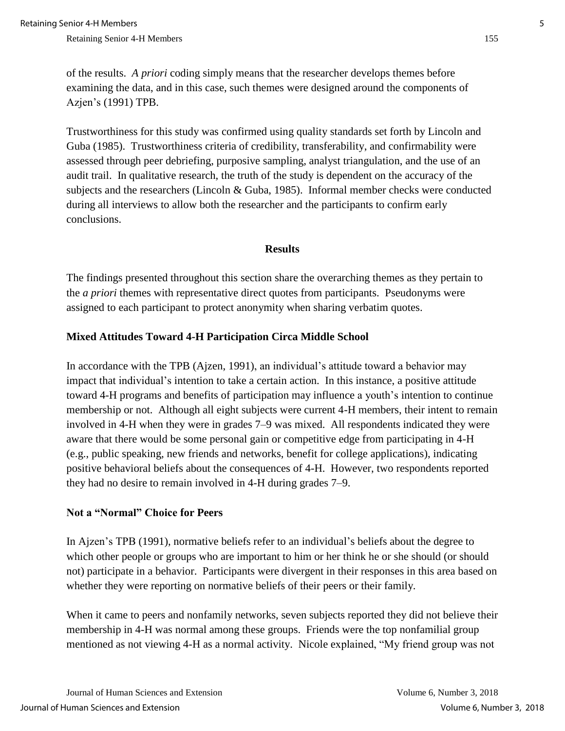of the results. *A priori* coding simply means that the researcher develops themes before examining the data, and in this case, such themes were designed around the components of Azjen's (1991) TPB.

Trustworthiness for this study was confirmed using quality standards set forth by Lincoln and Guba (1985). Trustworthiness criteria of credibility, transferability, and confirmability were assessed through peer debriefing, purposive sampling, analyst triangulation, and the use of an audit trail. In qualitative research, the truth of the study is dependent on the accuracy of the subjects and the researchers (Lincoln & Guba, 1985). Informal member checks were conducted during all interviews to allow both the researcher and the participants to confirm early conclusions.

#### **Results**

The findings presented throughout this section share the overarching themes as they pertain to the *a priori* themes with representative direct quotes from participants. Pseudonyms were assigned to each participant to protect anonymity when sharing verbatim quotes.

### **Mixed Attitudes Toward 4-H Participation Circa Middle School**

In accordance with the TPB (Ajzen, 1991), an individual's attitude toward a behavior may impact that individual's intention to take a certain action. In this instance, a positive attitude toward 4-H programs and benefits of participation may influence a youth's intention to continue membership or not. Although all eight subjects were current 4-H members, their intent to remain involved in 4-H when they were in grades 7–9 was mixed. All respondents indicated they were aware that there would be some personal gain or competitive edge from participating in 4-H (e.g., public speaking, new friends and networks, benefit for college applications), indicating positive behavioral beliefs about the consequences of 4-H. However, two respondents reported they had no desire to remain involved in 4-H during grades 7–9.

#### **Not a "Normal" Choice for Peers**

In Ajzen's TPB (1991), normative beliefs refer to an individual's beliefs about the degree to which other people or groups who are important to him or her think he or she should (or should not) participate in a behavior. Participants were divergent in their responses in this area based on whether they were reporting on normative beliefs of their peers or their family.

When it came to peers and nonfamily networks, seven subjects reported they did not believe their membership in 4-H was normal among these groups. Friends were the top nonfamilial group mentioned as not viewing 4-H as a normal activity. Nicole explained, "My friend group was not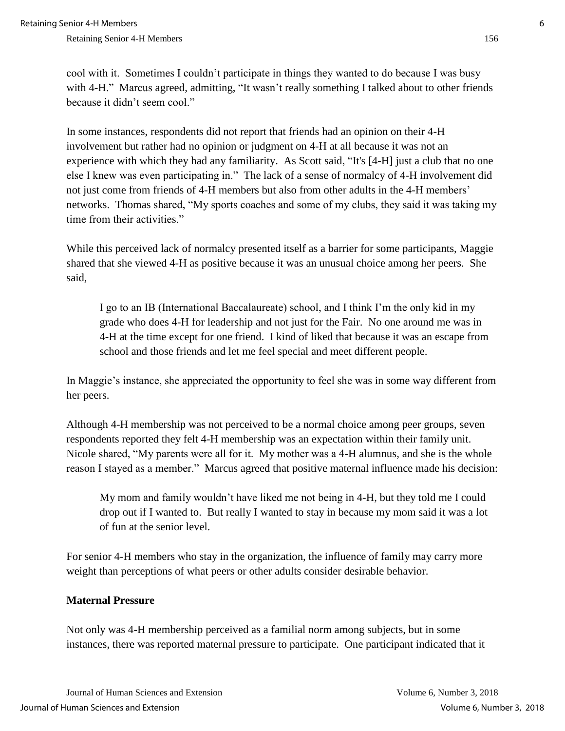cool with it. Sometimes I couldn't participate in things they wanted to do because I was busy with 4-H." Marcus agreed, admitting, "It wasn't really something I talked about to other friends because it didn't seem cool."

In some instances, respondents did not report that friends had an opinion on their 4-H involvement but rather had no opinion or judgment on 4-H at all because it was not an experience with which they had any familiarity. As Scott said, "It's [4-H] just a club that no one else I knew was even participating in." The lack of a sense of normalcy of 4-H involvement did not just come from friends of 4-H members but also from other adults in the 4-H members' networks. Thomas shared, "My sports coaches and some of my clubs, they said it was taking my time from their activities."

While this perceived lack of normalcy presented itself as a barrier for some participants, Maggie shared that she viewed 4-H as positive because it was an unusual choice among her peers. She said,

I go to an IB (International Baccalaureate) school, and I think I'm the only kid in my grade who does 4-H for leadership and not just for the Fair. No one around me was in 4-H at the time except for one friend. I kind of liked that because it was an escape from school and those friends and let me feel special and meet different people.

In Maggie's instance, she appreciated the opportunity to feel she was in some way different from her peers.

Although 4-H membership was not perceived to be a normal choice among peer groups, seven respondents reported they felt 4-H membership was an expectation within their family unit. Nicole shared, "My parents were all for it. My mother was a 4-H alumnus, and she is the whole reason I stayed as a member." Marcus agreed that positive maternal influence made his decision:

My mom and family wouldn't have liked me not being in 4-H, but they told me I could drop out if I wanted to. But really I wanted to stay in because my mom said it was a lot of fun at the senior level.

For senior 4-H members who stay in the organization, the influence of family may carry more weight than perceptions of what peers or other adults consider desirable behavior.

#### **Maternal Pressure**

Not only was 4-H membership perceived as a familial norm among subjects, but in some instances, there was reported maternal pressure to participate. One participant indicated that it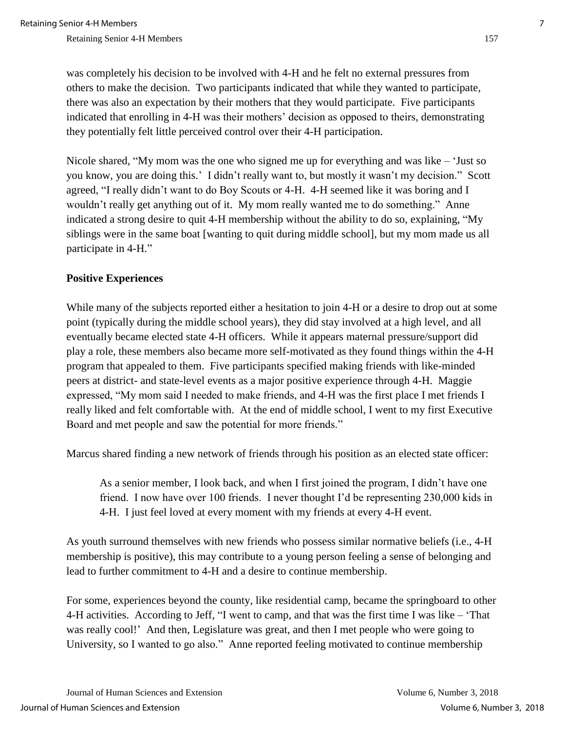was completely his decision to be involved with 4-H and he felt no external pressures from others to make the decision. Two participants indicated that while they wanted to participate, there was also an expectation by their mothers that they would participate. Five participants indicated that enrolling in 4-H was their mothers' decision as opposed to theirs, demonstrating they potentially felt little perceived control over their 4-H participation.

Nicole shared, "My mom was the one who signed me up for everything and was like – 'Just so you know, you are doing this.' I didn't really want to, but mostly it wasn't my decision." Scott agreed, "I really didn't want to do Boy Scouts or 4-H. 4-H seemed like it was boring and I wouldn't really get anything out of it. My mom really wanted me to do something." Anne indicated a strong desire to quit 4-H membership without the ability to do so, explaining, "My siblings were in the same boat [wanting to quit during middle school], but my mom made us all participate in 4-H."

### **Positive Experiences**

While many of the subjects reported either a hesitation to join 4-H or a desire to drop out at some point (typically during the middle school years), they did stay involved at a high level, and all eventually became elected state 4-H officers. While it appears maternal pressure/support did play a role, these members also became more self-motivated as they found things within the 4-H program that appealed to them. Five participants specified making friends with like-minded peers at district- and state-level events as a major positive experience through 4-H. Maggie expressed, "My mom said I needed to make friends, and 4-H was the first place I met friends I really liked and felt comfortable with. At the end of middle school, I went to my first Executive Board and met people and saw the potential for more friends."

Marcus shared finding a new network of friends through his position as an elected state officer:

As a senior member, I look back, and when I first joined the program, I didn't have one friend. I now have over 100 friends. I never thought I'd be representing 230,000 kids in 4-H. I just feel loved at every moment with my friends at every 4-H event.

As youth surround themselves with new friends who possess similar normative beliefs (i.e., 4-H membership is positive), this may contribute to a young person feeling a sense of belonging and lead to further commitment to 4-H and a desire to continue membership.

For some, experiences beyond the county, like residential camp, became the springboard to other 4-H activities. According to Jeff, "I went to camp, and that was the first time I was like – 'That was really cool!' And then, Legislature was great, and then I met people who were going to University, so I wanted to go also." Anne reported feeling motivated to continue membership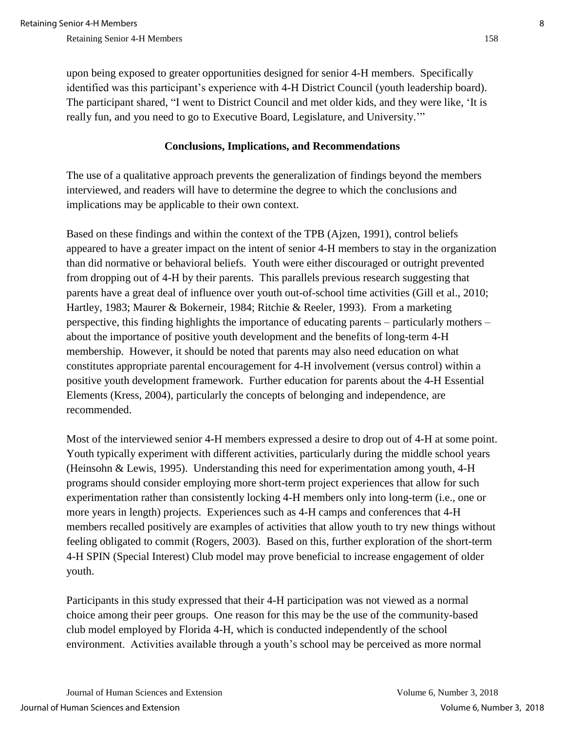upon being exposed to greater opportunities designed for senior 4-H members. Specifically identified was this participant's experience with 4-H District Council (youth leadership board). The participant shared, "I went to District Council and met older kids, and they were like, 'It is really fun, and you need to go to Executive Board, Legislature, and University.'"

#### **Conclusions, Implications, and Recommendations**

The use of a qualitative approach prevents the generalization of findings beyond the members interviewed, and readers will have to determine the degree to which the conclusions and implications may be applicable to their own context.

Based on these findings and within the context of the TPB (Ajzen, 1991), control beliefs appeared to have a greater impact on the intent of senior 4-H members to stay in the organization than did normative or behavioral beliefs. Youth were either discouraged or outright prevented from dropping out of 4-H by their parents. This parallels previous research suggesting that parents have a great deal of influence over youth out-of-school time activities (Gill et al., 2010; Hartley, 1983; Maurer & Bokerneir, 1984; Ritchie & Reeler, 1993). From a marketing perspective, this finding highlights the importance of educating parents – particularly mothers – about the importance of positive youth development and the benefits of long-term 4-H membership. However, it should be noted that parents may also need education on what constitutes appropriate parental encouragement for 4-H involvement (versus control) within a positive youth development framework. Further education for parents about the 4-H Essential Elements (Kress, 2004), particularly the concepts of belonging and independence, are recommended.

Most of the interviewed senior 4-H members expressed a desire to drop out of 4-H at some point. Youth typically experiment with different activities, particularly during the middle school years (Heinsohn & Lewis, 1995). Understanding this need for experimentation among youth, 4-H programs should consider employing more short-term project experiences that allow for such experimentation rather than consistently locking 4-H members only into long-term (i.e., one or more years in length) projects. Experiences such as 4-H camps and conferences that 4-H members recalled positively are examples of activities that allow youth to try new things without feeling obligated to commit (Rogers, 2003). Based on this, further exploration of the short-term 4-H SPIN (Special Interest) Club model may prove beneficial to increase engagement of older youth.

Participants in this study expressed that their 4-H participation was not viewed as a normal choice among their peer groups. One reason for this may be the use of the community-based club model employed by Florida 4-H, which is conducted independently of the school environment. Activities available through a youth's school may be perceived as more normal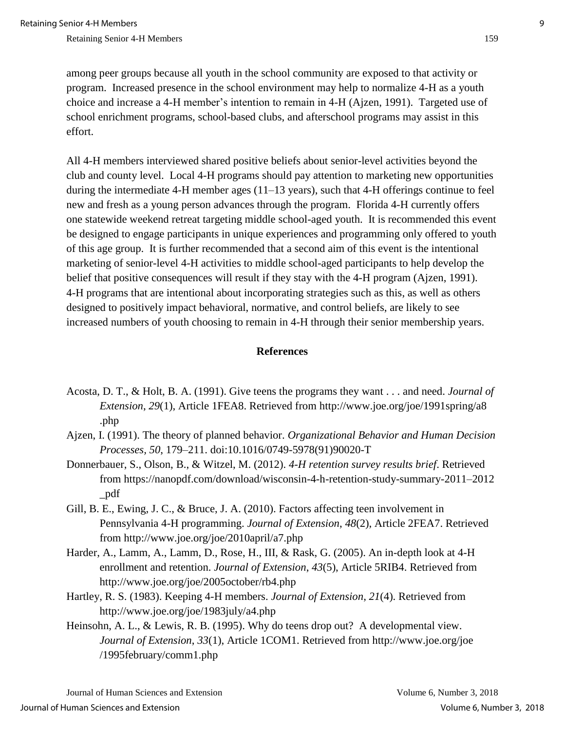among peer groups because all youth in the school community are exposed to that activity or program. Increased presence in the school environment may help to normalize 4-H as a youth choice and increase a 4-H member's intention to remain in 4-H (Ajzen, 1991). Targeted use of school enrichment programs, school-based clubs, and afterschool programs may assist in this effort.

All 4-H members interviewed shared positive beliefs about senior-level activities beyond the club and county level. Local 4-H programs should pay attention to marketing new opportunities during the intermediate 4-H member ages (11–13 years), such that 4-H offerings continue to feel new and fresh as a young person advances through the program. Florida 4-H currently offers one statewide weekend retreat targeting middle school-aged youth. It is recommended this event be designed to engage participants in unique experiences and programming only offered to youth of this age group. It is further recommended that a second aim of this event is the intentional marketing of senior-level 4-H activities to middle school-aged participants to help develop the belief that positive consequences will result if they stay with the 4-H program (Ajzen, 1991). 4-H programs that are intentional about incorporating strategies such as this, as well as others designed to positively impact behavioral, normative, and control beliefs, are likely to see increased numbers of youth choosing to remain in 4-H through their senior membership years.

#### **References**

- Acosta, D. T., & Holt, B. A. (1991). Give teens the programs they want . . . and need. *Journal of Extension*, *29*(1), Article 1FEA8. Retrieved from http://www.joe.org/joe/1991spring/a8 .php
- Ajzen, I. (1991). The theory of planned behavior. *Organizational Behavior and Human Decision Processes, 50*, 179–211. doi:10.1016/0749-5978(91)90020-T
- Donnerbauer, S., Olson, B., & Witzel, M. (2012). *4-H retention survey results brief*. Retrieved from https://nanopdf.com/download/wisconsin-4-h-retention-study-summary-2011–2012 \_pdf
- Gill, B. E., Ewing, J. C., & Bruce, J. A. (2010). Factors affecting teen involvement in Pennsylvania 4-H programming. *Journal of Extension*, *48*(2), Article 2FEA7. Retrieved from http://www.joe.org/joe/2010april/a7.php
- Harder, A., Lamm, A., Lamm, D., Rose, H., III, & Rask, G. (2005). An in-depth look at 4-H enrollment and retention. *Journal of Extension*, *43*(5), Article 5RIB4. Retrieved from http://www.joe.org/joe/2005october/rb4.php
- Hartley, R. S. (1983). Keeping 4-H members. *Journal of Extension*, *21*(4). Retrieved from <http://www.joe.org/joe/1983july/a4.php>
- Heinsohn, A. L., & Lewis, R. B. (1995). Why do teens drop out? A developmental view. *Journal of Extension*, *33*(1), Article 1COM1. Retrieved from http://www.joe.org/joe /1995february/comm1.php

Journal of Human Sciences and Extension Volume 6, Number 3, 2018